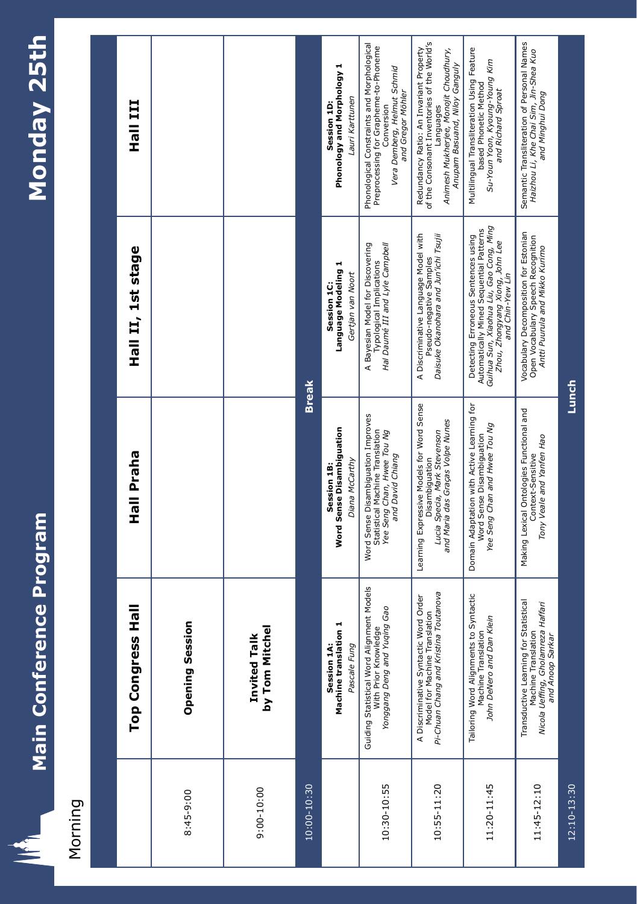

 $\equiv$ 

## Morning

|                | Top Congress Hall                                                                                                      | Hall Praha                                                                                                                      | Hall II, 1st stage                                                                                                                                                               | III IIEH                                                                                                                                                                      |  |
|----------------|------------------------------------------------------------------------------------------------------------------------|---------------------------------------------------------------------------------------------------------------------------------|----------------------------------------------------------------------------------------------------------------------------------------------------------------------------------|-------------------------------------------------------------------------------------------------------------------------------------------------------------------------------|--|
| 8:45-9:00      | <b>Opening Session</b>                                                                                                 |                                                                                                                                 |                                                                                                                                                                                  |                                                                                                                                                                               |  |
| $9:00 - 10:00$ | by Tom Mitchel<br>Invited Talk                                                                                         |                                                                                                                                 |                                                                                                                                                                                  |                                                                                                                                                                               |  |
| 10:00-10:30    |                                                                                                                        | <b>Break</b>                                                                                                                    |                                                                                                                                                                                  |                                                                                                                                                                               |  |
|                | Machine translation 1<br>Pascale Fung<br>Session 1A:                                                                   | <b>Word Sense Disambiguation</b><br>Diana McCarthy<br>Session 1B:                                                               | Language Modeling 1<br>Gertjan van Noort<br>Session 1C:                                                                                                                          | Phonology and Morphology 1<br>Lauri Karttunen<br>Session 1D:                                                                                                                  |  |
| 10:30-10:55    | Guiding Statistical Word Alignment Models<br>Yonggang Deng and Yuqing Gao<br>With Prior Knowledge                      | Word Sense Disambiguation Improves<br>Statistical Machine Translation<br>Yee Seng Chan, Hwee Tou Ng<br>and David Chiang         | A Bayesian Model for Discovering<br>Hal Daumé III and Lyle Campbell<br>Typological Implications                                                                                  | Phonological Constraints and Morphological<br>Preprocessing for Grapheme-to-Phoneme<br>Vera Demberg, Helmut Schmid<br>and Gregor Möhler<br>Conversion                         |  |
| 10:55-11:20    | Pi-Chuan Chang and Kristina Toutanova<br>A Discriminative Syntactic Word Order<br>Model for Machine Translation        | Learning Expressive Models for Word Sense<br>and Maria das Graças Volpe Nunes<br>Lucia Specia, Mark Stevenson<br>Disambiguation | A Discriminative Language Model with<br>Daisuke Okanohara and Jun'ichi Tsujii<br>Pseudo-negative Samples                                                                         | of the Consonant Inventories of the World's<br>Redundancy Ratio: An Invariant Property<br>Animesh Mukherjee, Monojit Choudhury,<br>Anupam Basuand, Niloy Ganguly<br>Languages |  |
| 11:20-11:45    | Tailoring Word Alignments to Syntactic<br>John DeNero and Dan Klein<br>Machine Translation                             | Domain Adaptation with Active Learning for<br>Yee Seng Chan and Hwee Tou Ng<br>Word Sense Disambiguation                        | Guihua Sun, Xiaohua Liu, Gao Cong, Ming<br>Automatically Mined Sequential Patterns<br>Detecting Erroneous Sentences using<br>Zhou, Zhongyang Xiong, John Lee<br>and Chin-Yew Lin | Multilingual Transliteration Using Feature<br>Su-Youn Yoon, Kyoung-Young Kim<br>based Phonetic Method<br>and Richard Sproat                                                   |  |
| 11:45-12:10    | Transductive Learning for Statistical<br>Nicola Ueffing, Gholamreza Haffari<br>and Anoop Sarkar<br>Machine Translation | Making Lexical Ontologies Functional and<br>Tony Veale and Yanfen Hao<br>Context-Sensitive                                      | Vocabulary Decomposition for Estonian<br>Open Vocabulary Speech Recognition<br>Antti Puurula and Mikko Kurimo                                                                    | Semantic Transliteration of Personal Names<br>Haizhou Li, Khe Chai Sim, Jin-Shea Kuo<br>and Minghui Dong                                                                      |  |
| 12:10-13:30    |                                                                                                                        | Lunch                                                                                                                           |                                                                                                                                                                                  |                                                                                                                                                                               |  |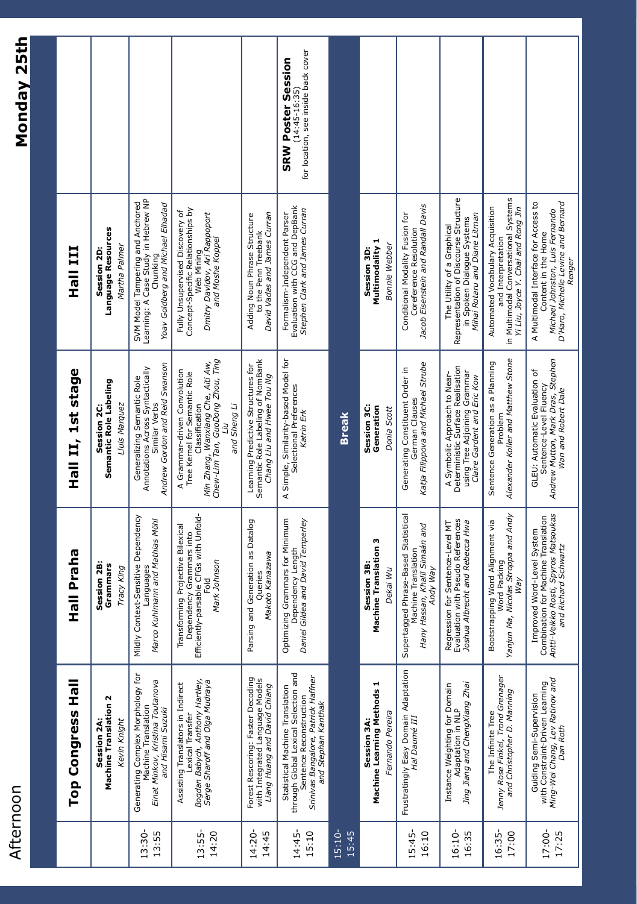| ı      |
|--------|
| N      |
|        |
|        |
| σ<br>ſ |
|        |
| í<br>с |
|        |
| ٦      |
|        |
|        |
|        |
|        |

|                    | Top Congress Hall                                                                                                                                                | Praha<br><b>MAI</b>                                                                                                                  | Hall II, 1st stage                                                                                                                                                       | III<br>一でエ                                                                                                                                      |                                                                                       |
|--------------------|------------------------------------------------------------------------------------------------------------------------------------------------------------------|--------------------------------------------------------------------------------------------------------------------------------------|--------------------------------------------------------------------------------------------------------------------------------------------------------------------------|-------------------------------------------------------------------------------------------------------------------------------------------------|---------------------------------------------------------------------------------------|
|                    | Ν<br><b>Machine Translation</b><br>Kevin Knight<br>Session 2A:                                                                                                   | Session 2B:<br>Grammars<br>Tracy King                                                                                                | Semantic Role Labeling<br>Lluis Marquez<br>Session 2C:                                                                                                                   | Language Resources<br>Martha Palmer<br>Session 2D:                                                                                              |                                                                                       |
| 13:55<br>13:30     | Generating Complex Morphology for<br>Machine Translation<br>Einat Minkov, Kristina Toutanova<br>and Hisami Suzuki                                                | Mildly Context-Sensitive Dependency<br>Marco Kuhlmann and Mathias Möhl<br>Languages                                                  | Andrew Gordon and Reid Swanson<br>Annotations Across Syntactically<br>Generalizing Semantic Role<br>Similar Verbs                                                        | SVM Model Tampering and Anchored<br>Learning: A Case Study in Hebrew NP<br>Yoav Goldberg and Michael Elhadad<br>Chunking                        |                                                                                       |
| 14:20<br>13:55-    | Bogdan Babych, Anthony Hartley,<br>Serge Sharoff and Olga Mudraya<br>Assisting Translators in Indirect<br>Lexical Transfer                                       | Efficiently-parsable CFGs with Unfold-<br>Transforming Projective Bilexical<br>Grammars into<br>Mark Johnson<br>Fold<br>Dependency   | Chew-Lim Tan, GuoDong Zhou, Ting<br>Min Zhang, Wanxiang Che, Aiti Aw,<br>A Grammar-driven Convolution<br>Tree Kernel for Semantic Role<br>Classification<br>and Sheng Li | Concept-Specific Relationships by<br>Fully Unsupervised Discovery of<br>Dmitry Davidov, Ari Rappoport<br>and Moshe Koppel<br>Web Mining         |                                                                                       |
| $14:20 -$<br>14:45 | Forest Rescoring: Faster Decoding<br>with Integrated Language Models<br><i>Liang Huang and David Chiang</i>                                                      | Parsing and Generation as Datalog<br>Makoto Kanazawa<br>Queries                                                                      | Semantic Role Labeling of NomBank<br>Learning Predictive Structures for<br>Chang Liu and Hwee Tou Ng                                                                     | David Vadas and James Curran<br>Adding Noun Phrase Structure<br>to the Penn Treebank                                                            |                                                                                       |
| 15:10<br>14:45     | through Global Lexical Selection and<br>Srinivas Bangalore, Patrick Haffner<br>Statistical Machine Translation<br>Sentence Reconstruction<br>and Stephan Kanthak | Optimizing Grammars for Minimum<br>Dependency Length<br><i>Gildea and David Temperley</i><br>Daniel Gildea and                       | A Simple, Similarity-based Model for<br>Selectional Preferences<br>Katrin Erk                                                                                            | Evaluation with CCG and DepBank<br>Stephen Clark and James Curran<br>Formalism-Independent Parser                                               | for location, see inside back cover<br><b>SRW Poster Session</b><br>$(14:45 - 16:35)$ |
| 15:10-<br>15:45    |                                                                                                                                                                  |                                                                                                                                      | <b>Break</b>                                                                                                                                                             |                                                                                                                                                 |                                                                                       |
|                    | Machine Learning Methods 1<br>Fernando Pereira<br>Session 3A:                                                                                                    | <b>Machine Translation 3</b><br>Session 3B:<br>Dekai Wu                                                                              | Session 3C:<br>Generation<br>Donia Scott                                                                                                                                 | Multimodality 1<br><b>Bonnie Webber</b><br>Session 3D:                                                                                          |                                                                                       |
| 16:10<br>15:45-    | Frustratingly Easy Domain Adaptation<br>Hal Daumé III                                                                                                            | Supertagged Phrase-Based Statistical<br>Hany Hassan, Khalil Simaán and<br>Machine Translation<br>Andy Way                            | Katja Filippova and Michael Strube<br>Generating Constituent Order in<br>German Clauses                                                                                  | Jacob Eisenstein and Randall Davis<br>Conditional Modality Fusion for<br>Coreference Resolution                                                 |                                                                                       |
| 16:35<br>16:10     | Jing Jiang and ChengXiang Zhai<br>Instance Weighting for Domain<br>Adaptation in NLP                                                                             | Evaluation with Pseudo References<br>Joshua Albrecht and Rebecca Hwa<br>Regression for Sentence-Level MT                             | Deterministic Surface Realisation<br>using Tree Adjoining Grammar<br>A Symbolic Approach to Near-<br>Claire Gardent and Eric Kow                                         | Representation of Discourse Structure<br>Mihai Rotaru and Diane Litman<br>in Spoken Dialogue Systems<br>The Utility of a Graphical              |                                                                                       |
| 16:35-<br>17:00    | Jenny Rose Finkel, Trond Grenager<br>and Christopher D. Manning<br>The Infinite Tree                                                                             | Yanjun Ma, Nicolas Stroppa and Andy<br>Bootstrapping Word Alignment via<br>Word Packing<br><b>Nay</b>                                | Alexander Koller and Matthew Stone<br>Sentence Generation as a Planning<br>Problem                                                                                       | in Multimodal Conversational Systems<br>Automated Vocabulary Acquisition<br>Yi Liu, Joyce Y. Chai and Rong Jin<br>and Interpretation            |                                                                                       |
| 17:00-<br>17:25    | Ming-Wei Chang, Lev Ratinov and<br>Dan Roth<br>Guiding Semi-Supervision<br>with Constraint-Driven Learning                                                       | Spyros Matsoukas<br>Combination for Machine Translation<br>Improved Word-Level System<br>and Richard Schwartz<br>Antti-Veikko Rosti, | Andrew Mutton, Mark Dras, Stephen<br>GLEU: Automatic Evaluation of<br>Sentence-Level Fluency<br>Wan and Robert Dale                                                      | D'Haro, Michelle Levine and Bernard<br>A Multimodal Interface for Access to<br>Michael Johnston, Luis Fernando<br>Content in the Home<br>Renger |                                                                                       |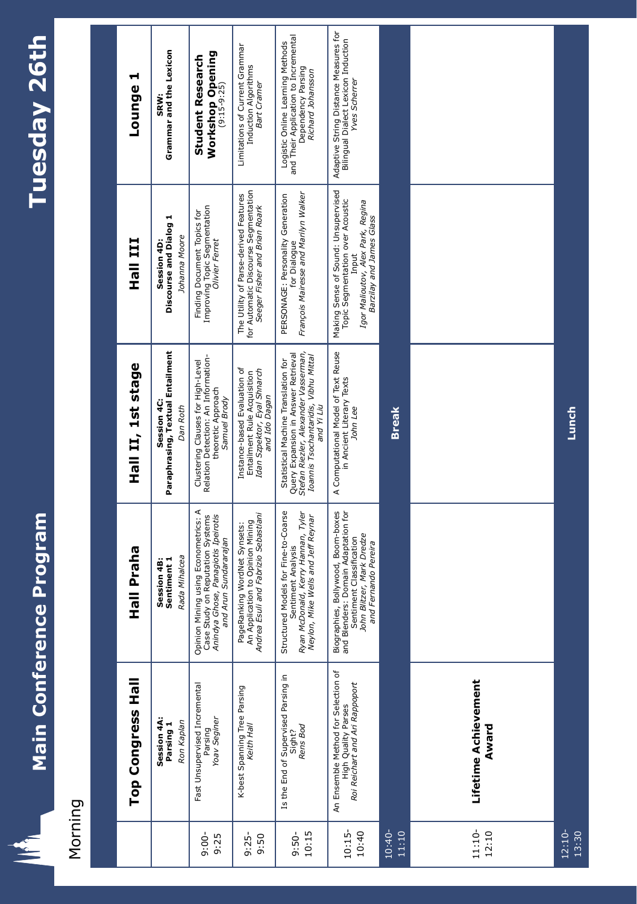

生

# Morning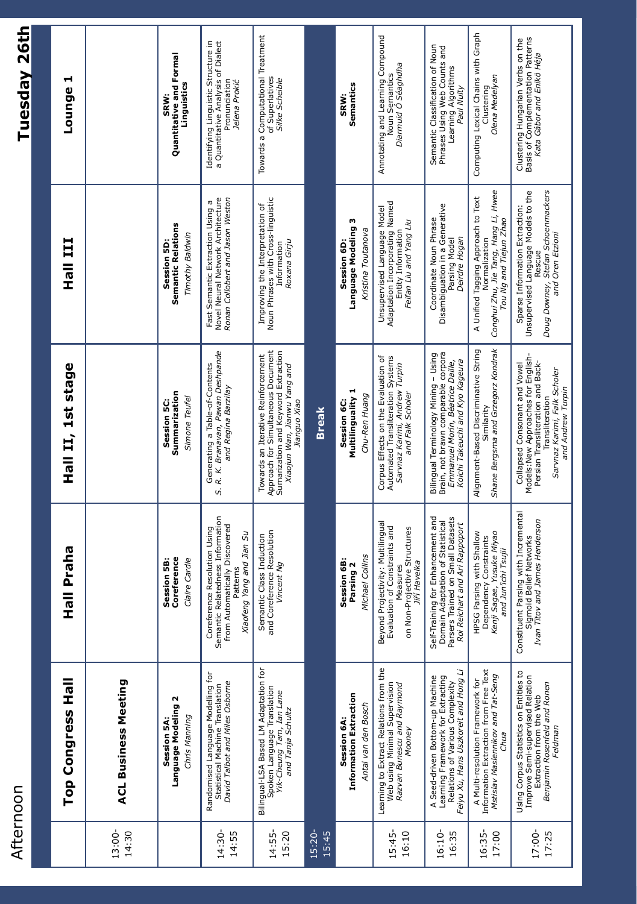### Afternoon Afternoon

## **Tuesday 26th Tuesday 26th**

|                    | Top Congress Hall                                                                                                                                | Praha<br>言立                                                                                                                                     | Hall II, 1st stage                                                                                                                                                                | <b>III</b><br>들<br>모                                                                                                                     | ᆏ<br><b>Lounge</b>                                                                                          |
|--------------------|--------------------------------------------------------------------------------------------------------------------------------------------------|-------------------------------------------------------------------------------------------------------------------------------------------------|-----------------------------------------------------------------------------------------------------------------------------------------------------------------------------------|------------------------------------------------------------------------------------------------------------------------------------------|-------------------------------------------------------------------------------------------------------------|
| 13:00-<br>14:30    | <b>ACL Business Meeting</b>                                                                                                                      |                                                                                                                                                 |                                                                                                                                                                                   |                                                                                                                                          |                                                                                                             |
|                    | Ν<br>Language Modeling<br>Chris Manning<br>Session 5A                                                                                            | Coreference<br>Session 5B:<br>Claire Cardie                                                                                                     | Summarization<br>Simone Teufel<br>Session 5C:                                                                                                                                     | <b>Semantic Relations</b><br>Timothy Baldwin<br>Session 5D                                                                               | Quantitative and Formal<br>Linguistics<br><b>SRW:</b>                                                       |
| 14:30-<br>14:55    | Randomised Language Modelling for<br>David Talbot and Miles Osborne<br>Statistical Machine Translation                                           | Semantic Relatedness Information<br>from Automatically Discovered<br>Coreference Resolution Using<br>Xiaofeng Yang and Jian Su<br>Patterns      | S. R. K. Branavan, Pawan Deshpande<br>Generating a Table-of-Contents<br>and Regina Barzilay                                                                                       | Ronan Collobert and Jason Weston<br>Novel Neural Network Architecture<br>Fast Semantic Extraction Using a                                | Identifying Linguistic Structure in<br>a Quantitative Analysis of Dialect<br>Pronunciation<br>Jelena Prokić |
| 14:55-<br>15:20    | Bilingual-LSA Based LM Adaptation for<br>Spoken Language Translation<br>Yik-Cheung Tam, Ian Lane<br>and Tanja Schultz                            | and Coreference Resolution<br>Semantic Class Induction<br>Vincent Ng                                                                            | Approach for Simultaneous Document<br>Sumarization and Keyword Extraction<br>Towards an Iterative Reinforcement<br>Xiaojun Wan, Jianwu Yang and<br>Jianguo Xiao                   | Noun Phrases with Cross-linguistic<br>Improving the Interpretation of<br>Roxana Girju<br>Information                                     | Towards a Computational Treatment<br>of Superlatives<br>Silke Scheible                                      |
| $15:20 -$<br>15:45 |                                                                                                                                                  |                                                                                                                                                 | <b>Break</b>                                                                                                                                                                      |                                                                                                                                          |                                                                                                             |
|                    | <b>Information Extraction</b><br>Antal van den Bosch<br>Session 6A                                                                               | Michael Collins<br>Session 6B:<br>Parsing 2                                                                                                     | Multilinguality 1<br>Chu-Ren Huang<br>Session 6C:                                                                                                                                 | Language Modeling 3<br>Kristina Toutanova<br>Session 6D:                                                                                 | Semantics<br>SRW:                                                                                           |
| 15:45-<br>16:10    | Learning to Extract Relations from the<br>Web using Minimal Supervision<br>Razvan Bunescu and Raymond<br>Mooney                                  | Beyond Projectivity: Multilingual<br>Constraints and<br>on Non-Projective Structures<br>Jiří Havelka<br>Measures<br>Evaluation of               | Corpus Effects on the Evaluation of<br>Automated Transliteration Systems<br>Sarvnaz Karimi, Andrew Turpin<br>and Falk Scholer                                                     | Adaptation Incorporating Named<br>Unsupervised Language Model<br>Feifan Liu and Yang Liu<br>Entity Information                           | Annotating and Learning Compound<br>Diarmuid Ó Séaghdha<br>Noun Semantics                                   |
| 16:10-<br>16:35    | Feiyu Xu, Hans Uszkoreit and Hong Li<br>Learning Framework for Extracting<br>A Seed-driven Bottom-up Machine<br>Relations of Various Complexity  | Enhancement and<br>Parsers Trained on Small Datasets<br>Domain Adaptation of Statistical<br>Roi Reichart and Ari Rappoport<br>Self-Training for | Brain, not brawn comparable corpora<br>Bilingual Terminology Mining – Using<br>Emmanuel Morin, Béatrice Daille,<br>Koichi Takeuchi and Kyo Kageura                                | Disambiguation in a Generative<br>Coordinate Noun Phrase<br>Parsing Model<br>Deirdre Hogan                                               | Semantic Classification of Noun<br>Phrases Using Web Counts and<br>Learning Algorithms<br>Paul Nulty        |
| 16:35-<br>17:00    | Information Extraction from Free Text<br>Mstislav Maslennikov and Tat-Seng<br>A Multi-resolution Framework for<br>Chua                           | Yusuke Miyao<br>HPSG Parsing with Shallow<br>Dependency Constraints<br>ı'ichi Tsujii<br>Kenji Sagae,<br>and Jur.                                | Shane Bergsma and Grzegorz Kondrak<br>Alignment-Based Discriminative String<br>Similarity                                                                                         | Conghui Zhu, Jie Tang, Hang Li, Hwee<br>A Unified Tagging Approach to Text<br>Tou Ng and Tiejun Zhao<br>Normalization                    | Computing Lexical Chains with Graph<br>Olena Medelyan<br>Clustering                                         |
| 17:00-<br>17:25    | Using Corpus Statistics on Entities to<br>Improve Semi-supervised Relation<br>Benjamin Rosenfeld and Ronen<br>Extraction from the Web<br>Feldman | Constituent Parsing with Incremental<br>Ivan Titov and James Henderson<br>Sigmoid Belief Networks                                               | Models: New Approaches for English-<br>Persian Transliteration and Back-<br>Collapsed Consonant and Vowel<br>Sarvnaz Karimi, Falk Scholer<br>and Andrew Turpin<br>Transliteration | Unsupervised Language Models to the<br>Doug Downey, Stefan Schoenmackers<br>Sparse Information Extraction:<br>and Oren Etzioni<br>Rescue | Clustering Hungarian Verbs on the<br>Basis of Complementation Patterns<br>Kata Gábo <i>r and Enikö Héja</i> |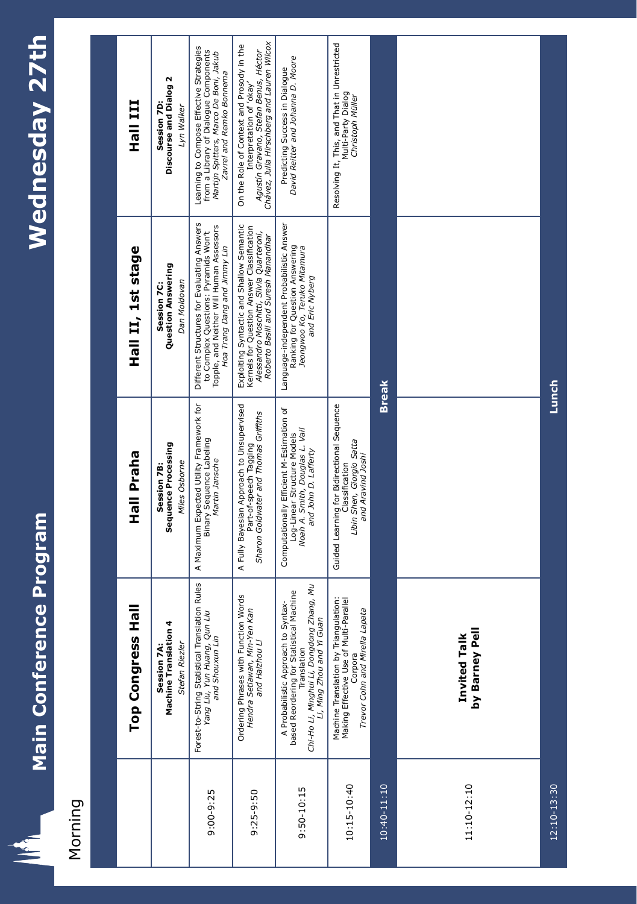

**A** 

# Morning

|                 | Top Congress Hal                                                                                                                                                         | Hall Praha                                                                                                                         | Hall II, 1st stage                                                                                                                                                         | III IIEH                                                                                                                                                     |
|-----------------|--------------------------------------------------------------------------------------------------------------------------------------------------------------------------|------------------------------------------------------------------------------------------------------------------------------------|----------------------------------------------------------------------------------------------------------------------------------------------------------------------------|--------------------------------------------------------------------------------------------------------------------------------------------------------------|
|                 | Session 7A:<br>Machine Translation 4<br>Stefan Riezler                                                                                                                   | Sequence Processing<br>Miles Osborne<br>Session 7B:                                                                                | Question Answering<br>Dan Moldovan<br>Session 7C:                                                                                                                          | Discourse and Dialog 2<br>Session 7D<br>Lyn Walker                                                                                                           |
| $9:00-9:25$     | Rules<br>Forest-to-String Statistical Translation<br>Yang Liu, Yun Huang, Qun Liu<br>and Shouxun Lin                                                                     | A Maximum Expected Utility Framework for<br>Binary Sequence Labeling<br>Martin Jansche                                             | Different Structures for Evaluating Answers<br>Topple, and Neither Will Human Assessors<br>to Complex Questions: Pyramids Won't<br>Hoa Trang Dang and Jimmy Lin            | Learning to Compose Effective Strategies<br>from a Library of Dialogue Components<br>Martijn Spitters, Marco De Boni, Jakub<br>Zavrel and Remko Bonnema      |
| 9:25-9:50       | Ordering Phrases with Function Words<br>Hendra Setiawan, Min-Yen Kan<br>and Haizhou Li                                                                                   | A Fully Bayesian Approach to Unsupervised<br>Sharon Goldwater and Thomas Griffiths<br>Part-of-speech Tagging                       | Exploiting Syntactic and Shallow Semantic<br>Kernels for Question Answer Classification<br>Alessandro Moschitti, Silvia Quarteroni,<br>Roberto Basili and Suresh Manandhar | Chávez, Julia Hirschberg and Lauren Wilcox<br>On the Role of Context and Prosody in the<br>Agustín Gravano, Stefan Benus, Héctor<br>Interpretation of 'okay' |
| 9:50-10:15      | Chi-Ho Li, Minghui Li, Dongdong Zhang, Mu<br>Li, Ming Zhou and Yi Guan<br>based Reordering for Statistical Machine<br>A Probabilistic Approach to Syntax-<br>Translation | Computationally Efficient M-Estimation of<br>Noah A. Smith, Douglas L. Vail<br>Log-Linear Structure Models<br>and John D. Lafferty | Language-independent Probabilistic Answer<br>Ranking for Question Answering<br>Jeongwoo Ko, Teruko Mitamura<br>and Eric Nyberg                                             | David Reitter and Johanna D. Moore<br>Predicting Success in Dialogue                                                                                         |
| 10:15-10:40     | Machine Translation by Triangulation:<br>Making Effective Use of Multi-Parallel<br>Trevor Cohn and Mirella Lapata<br>Corpora                                             | Guided Learning for Bidirectional Sequence<br>Libin Shen, Giorgio Satta<br>and Aravind Joshi<br>Classification                     |                                                                                                                                                                            | Resolving It, This, and That in Unrestricted<br>Multi-Party Dialog<br>Christoph Müller                                                                       |
| $10:40 - 11:10$ |                                                                                                                                                                          | <b>Break</b>                                                                                                                       |                                                                                                                                                                            |                                                                                                                                                              |
| 11:10-12:10     | by Barney Pell<br><b>Invited Talk</b>                                                                                                                                    |                                                                                                                                    |                                                                                                                                                                            |                                                                                                                                                              |
| 12:10-13:30     |                                                                                                                                                                          | Lunch                                                                                                                              |                                                                                                                                                                            |                                                                                                                                                              |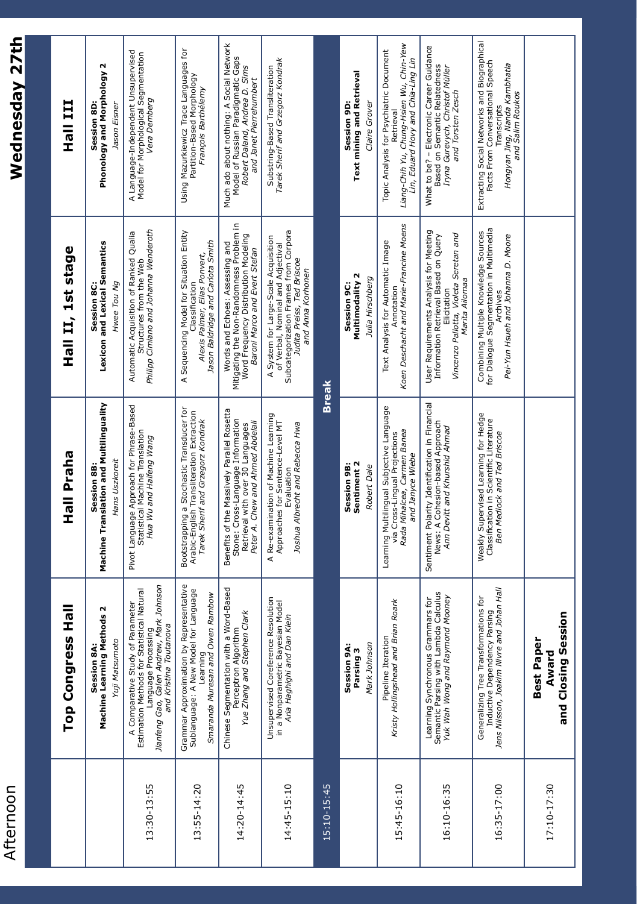| Afternoon   |                                                                                                                                                                             |                                                                                                                                                         |                                                                                                                                                                       | Wednesday 27th                                                                                                                                      |
|-------------|-----------------------------------------------------------------------------------------------------------------------------------------------------------------------------|---------------------------------------------------------------------------------------------------------------------------------------------------------|-----------------------------------------------------------------------------------------------------------------------------------------------------------------------|-----------------------------------------------------------------------------------------------------------------------------------------------------|
|             |                                                                                                                                                                             |                                                                                                                                                         |                                                                                                                                                                       |                                                                                                                                                     |
|             | 요<br><b>Top Congress</b>                                                                                                                                                    | Hall Praha                                                                                                                                              | 1st stage<br>Hall II,                                                                                                                                                 | <b>TII IIEH</b>                                                                                                                                     |
|             | Σ<br>Machine Learning Methods<br>Yuji Matsumoto<br>Session 8A:                                                                                                              | Machine Translation and Multilinguality<br>Hans Uszkoreit<br>Session 8B:                                                                                | Lexicon and Lexical Semantics<br>Hwee Tou Ng<br>Session 8C:                                                                                                           | Phonology and Morphology 2<br>Session 8D:<br>Jason Eisner                                                                                           |
| 13:30-13:55 | Jianfeng Gao, Galen Andrew, Mark Johnson<br>and Kristina Toutanova<br>A Comparative Study of Parameter<br>Estimation Methods for Statistical Natural<br>Language Processing | Pivot Language Approach for Phrase-Based<br>Statistical Machine Translation<br>Hua Wu and Haifeng Wang                                                  | Philipp Cimiano and Johanna Wenderoth<br>Automatic Acquisition of Ranked Qualia<br>Structures from the Web                                                            | A Language-Independent Unsupervised<br>Model for Morphological Segmentation<br>Vera Demberg                                                         |
| 13:55-14:20 | Grammar Approximation by Representative<br>Sublanguage: A New Model for Language<br>Smaranda Muresan and Owen Rambow<br>Learning                                            | Bootstrapping a Stochastic Transducer for<br>Arabic-English Transliteration Extraction<br>Tarek Sherif and Grzegorz Kondrak                             | A Sequencing Model for Situation Entity<br>Jason Baldridge and Carlota Smith<br>Alexis Palmer, Elias Ponvert,<br>Classification                                       | Using Mazurkiewicz Trace Languages for<br>Partition-Based Morphology<br>François Barthélemy                                                         |
| 14:20-14:45 | Based<br>Chinese Segmentation with a Word-<br>Yue Zhang and Stephen Clark<br>Perceptron Algorithm                                                                           | Benefits of the Massively Parallel Rosetta<br>Stone: Cross-Language Information<br>Peter A. Chew and Ahmed Abdelali<br>Retrieval with over 30 Languages | Mitigating the Non-Randomness Problem in<br>Word Frequency Distribution Modeling<br>Words and Echoes: Assessing and<br>Baroni Marco and Evert Stefan                  | Much ado about nothing: A Social Network<br>Model of Russian Paradigmatic Gaps<br>Robert Daland, Andrea D. Sims<br>and Janet Pierrehumbert          |
| 14:45-15:10 | Unsupervised Coreference Resolution<br>in a Nonparametric Bayesian Model<br>Aria Haghighi and Dan Klein                                                                     | A Re-examination of Machine Learning<br>Approaches for Sentence-Level MT<br>Joshua Albrecht and Rebecca Hwa<br>Evaluation                               | Subcategorization Frames from Corpora<br>A System for Large-Scale Acquisition<br>of Verbal, Nominal and Adjectival<br>Judita Preiss, Ted Briscoe<br>and Anna Korhonen | Tarek Sherif and Grzegorz Kondrak<br>Substring-Based Transliteration                                                                                |
| 15:10-15:45 |                                                                                                                                                                             | <b>Break</b>                                                                                                                                            |                                                                                                                                                                       |                                                                                                                                                     |
|             | Mark Johnson<br>Session 9A:<br>Parsing 3                                                                                                                                    | Sentiment 2<br>Session 9B:<br>Robert Dale                                                                                                               | Multimodality 2<br>Julia Hirschberg<br>Session 9C:                                                                                                                    | <b>Text mining and Retrieval</b><br>Claire Grover<br>Session 9D:                                                                                    |
| 15:45-16:10 | Kristy Hollingshead and Brian Roark<br>Pipeline Iteration                                                                                                                   | Learning Multilingual Subjective Language<br>Rada Mihalcea, Carmen Banea<br>via Cross-Lingual Projections<br>and Janyce Wiebe                           | Koen Deschacht and Marie-Francine Moens<br>Text Analysis for Automatic Image<br>Annotation                                                                            | Liang-Chih Yu, Chung-Hsien Wu, Chin-Yew<br>Topic Analysis for Psychiatric Document<br>Lin, Eduard Hovy and Chia-Ling Lin<br>Retrieval               |
| 16:10-16:35 | Learning Synchronous Grammars for<br>Semantic Parsing with Lambda Calculus<br>Yuk Wah Wong and Raymond Mooney                                                               | Sentiment Polarity Identification in Financial<br>News: A Cohesion-based Approach<br>Ann Devitt and Khurshid Ahmad                                      | User Requirements Analysis for Meeting<br>Vincenzo Pallotta, Violeta Seretan and<br>Marita Ailomaa<br>Information Retrieval Based on Query<br>Elicitation             | What to be? - Electronic Career Guidance<br>Based on Semantic Relatedness<br>Iryna Gurevych, Christof Müller<br>and Torsten Zesch                   |
| 16:35-17:00 | Inductive Dependency Parsing<br>Jens Nilsson, Joakim Nivre and Johan Hall<br>Generalizing Tree Transformations for                                                          | Weakly Supervised Learning for Hedge<br>Classification in Scientific Literature<br>Ben Medlock and Ted Briscoe                                          | Combining Multiple Knowledge Sources<br>for Dialogue Segmentation in Multimedia<br>Pei-Yun Hsueh and Johanna D. Moore<br>Archives                                     | Extracting Social Networks and Biographical<br>Facts From Conversational Speech<br>Hongyan Jing, Nanda Kambhatla<br>and Salim Roukos<br>Transcripts |
| 17:10-17:30 | and Closing Session<br><b>Best Paper</b><br>Award                                                                                                                           |                                                                                                                                                         |                                                                                                                                                                       |                                                                                                                                                     |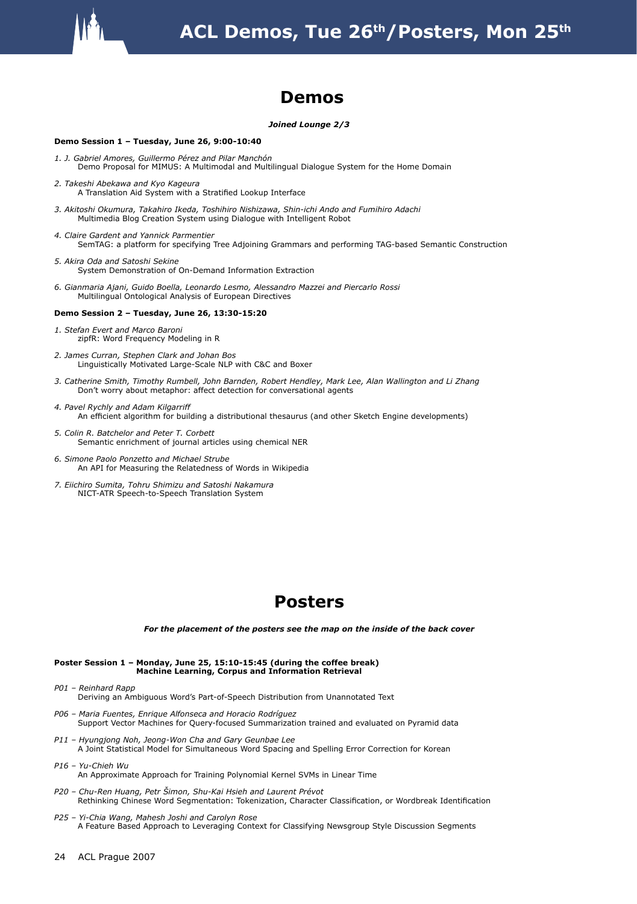

#### **Demos**

#### *Joined Lounge 2/3*

#### **Demo Session 1 – Tuesday, June 26, 9:00-10:40**

- *1. J. Gabriel Amores, Guillermo Pérez and Pilar Manchón*  Demo Proposal for MIMUS: A Multimodal and Multilingual Dialogue System for the Home Domain
- *2. Takeshi Abekawa and Kyo Kageura*  A Translation Aid System with a Stratified Lookup Interface
- *3. Akitoshi Okumura, Takahiro Ikeda, Toshihiro Nishizawa, Shin-ichi Ando and Fumihiro Adachi*  Multimedia Blog Creation System using Dialogue with Intelligent Robot
- *4. Claire Gardent and Yannick Parmentier*  SemTAG: a platform for specifying Tree Adjoining Grammars and performing TAG-based Semantic Construction
- *5. Akira Oda and Satoshi Sekine*  System Demonstration of On-Demand Information Extraction
- *6. Gianmaria Ajani, Guido Boella, Leonardo Lesmo, Alessandro Mazzei and Piercarlo Rossi*  Multilingual Ontological Analysis of European Directives

#### **Demo Session 2 – Tuesday, June 26, 13:30-15:20**

- *1. Stefan Evert and Marco Baroni*  zipfR: Word Frequency Modeling in R
- *2. James Curran, Stephen Clark and Johan Bos*  Linguistically Motivated Large-Scale NLP with C&C and Boxer
- *3. Catherine Smith, Timothy Rumbell, John Barnden, Robert Hendley, Mark Lee, Alan Wallington and Li Zhang*  Don't worry about metaphor: affect detection for conversational agents
- *4. Pavel Rychly and Adam Kilgarriff*  An efficient algorithm for building a distributional thesaurus (and other Sketch Engine developments)
- *5. Colin R. Batchelor and Peter T. Corbett*  Semantic enrichment of journal articles using chemical NER
- *6. Simone Paolo Ponzetto and Michael Strube*  An API for Measuring the Relatedness of Words in Wikipedia
- *7. Eiichiro Sumita, Tohru Shimizu and Satoshi Nakamura*  NICT-ATR Speech-to-Speech Translation System

#### **Posters**

*For the placement of the posters see the map on the inside of the back cover*

#### **Poster Session 1 – Monday, June 25, 15:10-15:45 (during the coffee break) Machine Learning, Corpus and Information Retrieval**

- *P01 Reinhard Rapp*  Deriving an Ambiguous Word's Part-of-Speech Distribution from Unannotated Text
- *P06 Maria Fuentes, Enrique Alfonseca and Horacio Rodríguez*  Support Vector Machines for Query-focused Summarization trained and evaluated on Pyramid data
- *P11 Hyungjong Noh, Jeong-Won Cha and Gary Geunbae Lee*  A Joint Statistical Model for Simultaneous Word Spacing and Spelling Error Correction for Korean
- *P16 Yu-Chieh Wu*  An Approximate Approach for Training Polynomial Kernel SVMs in Linear Time
- *P20 Chu-Ren Huang, Petr Šimon, Shu-Kai Hsieh and Laurent Prévot*  Rethinking Chinese Word Segmentation: Tokenization, Character Classification, or Wordbreak Identification
- *P25 Yi-Chia Wang, Mahesh Joshi and Carolyn Rose*  A Feature Based Approach to Leveraging Context for Classifying Newsgroup Style Discussion Segments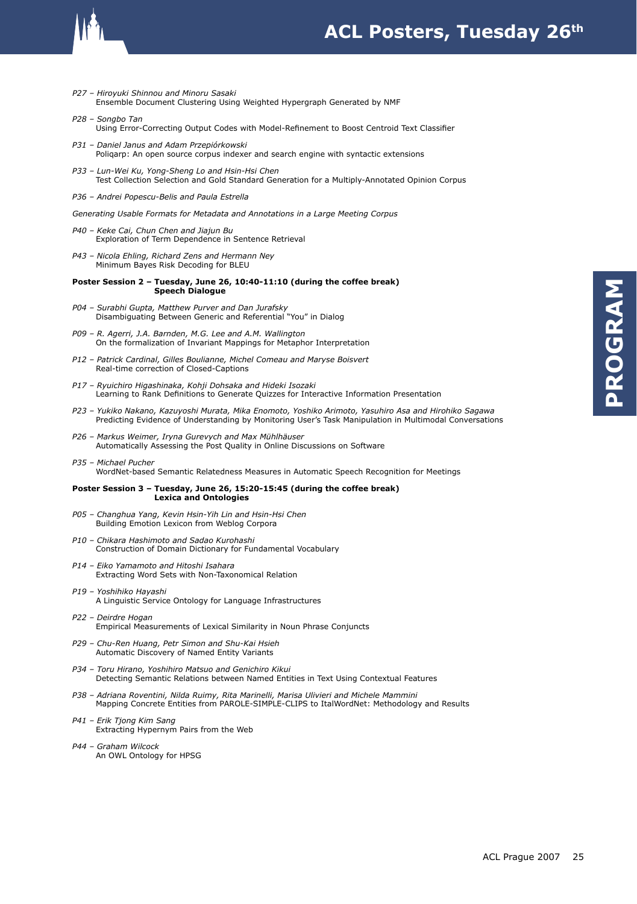

#### **ACL Posters, Tuesday 26th**

- *P27 Hiroyuki Shinnou and Minoru Sasaki*  Ensemble Document Clustering Using Weighted Hypergraph Generated by NMF
- *P28 Songbo Tan*  Using Error-Correcting Output Codes with Model-Refinement to Boost Centroid Text Classifier
- *P31 Daniel Janus and Adam Przepiórkowski*  Poliqarp: An open source corpus indexer and search engine with syntactic extensions
- *P33 Lun-Wei Ku, Yong-Sheng Lo and Hsin-Hsi Chen*  Test Collection Selection and Gold Standard Generation for a Multiply-Annotated Opinion Corpus
- *P36 Andrei Popescu-Belis and Paula Estrella*

*Generating Usable Formats for Metadata and Annotations in a Large Meeting Corpus* 

- *P40 Keke Cai, Chun Chen and Jiajun Bu*  Exploration of Term Dependence in Sentence Retrieval
- *P43 Nicola Ehling, Richard Zens and Hermann Ney*  Minimum Bayes Risk Decoding for BLEU

#### **Poster Session 2 – Tuesday, June 26, 10:40-11:10 (during the coffee break) Speech Dialogue**

- *P04 Surabhi Gupta, Matthew Purver and Dan Jurafsky*  Disambiguating Between Generic and Referential "You" in Dialog
- *P09 R. Agerri, J.A. Barnden, M.G. Lee and A.M. Wallington*  On the formalization of Invariant Mappings for Metaphor Interpretation
- *P12 Patrick Cardinal, Gilles Boulianne, Michel Comeau and Maryse Boisvert*  Real-time correction of Closed-Captions
- *P17 Ryuichiro Higashinaka, Kohji Dohsaka and Hideki Isozaki*  Learning to Rank Definitions to Generate Quizzes for Interactive Information Presentation
- *P23 Yukiko Nakano, Kazuyoshi Murata, Mika Enomoto, Yoshiko Arimoto, Yasuhiro Asa and Hirohiko Sagawa*  Predicting Evidence of Understanding by Monitoring User's Task Manipulation in Multimodal Conversations
- *P26 Markus Weimer, Iryna Gurevych and Max Mühlhäuser*  Automatically Assessing the Post Quality in Online Discussions on Software

#### *P35 – Michael Pucher*  WordNet-based Semantic Relatedness Measures in Automatic Speech Recognition for Meetings

#### **Poster Session 3 – Tuesday, June 26, 15:20-15:45 (during the coffee break) Lexica and Ontologies**

- *P05 Changhua Yang, Kevin Hsin-Yih Lin and Hsin-Hsi Chen*  Building Emotion Lexicon from Weblog Corpora
- *P10 Chikara Hashimoto and Sadao Kurohashi*  Construction of Domain Dictionary for Fundamental Vocabulary
- *P14 Eiko Yamamoto and Hitoshi Isahara*  Extracting Word Sets with Non-Taxonomical Relation
- *P19 Yoshihiko Hayashi*  A Linguistic Service Ontology for Language Infrastructures
- *P22 Deirdre Hogan*  Empirical Measurements of Lexical Similarity in Noun Phrase Conjuncts
- *P29 Chu-Ren Huang, Petr Simon and Shu-Kai Hsieh*  Automatic Discovery of Named Entity Variants
- *P34 Toru Hirano, Yoshihiro Matsuo and Genichiro Kikui*  Detecting Semantic Relations between Named Entities in Text Using Contextual Features
- *P38 Adriana Roventini, Nilda Ruimy, Rita Marinelli, Marisa Ulivieri and Michele Mammini*  Mapping Concrete Entities from PAROLE-SIMPLE-CLIPS to ItalWordNet: Methodology and Results
- *P41 Erik Tjong Kim Sang*  Extracting Hypernym Pairs from the Web
- *P44 Graham Wilcock*  An OWL Ontology for HPSG